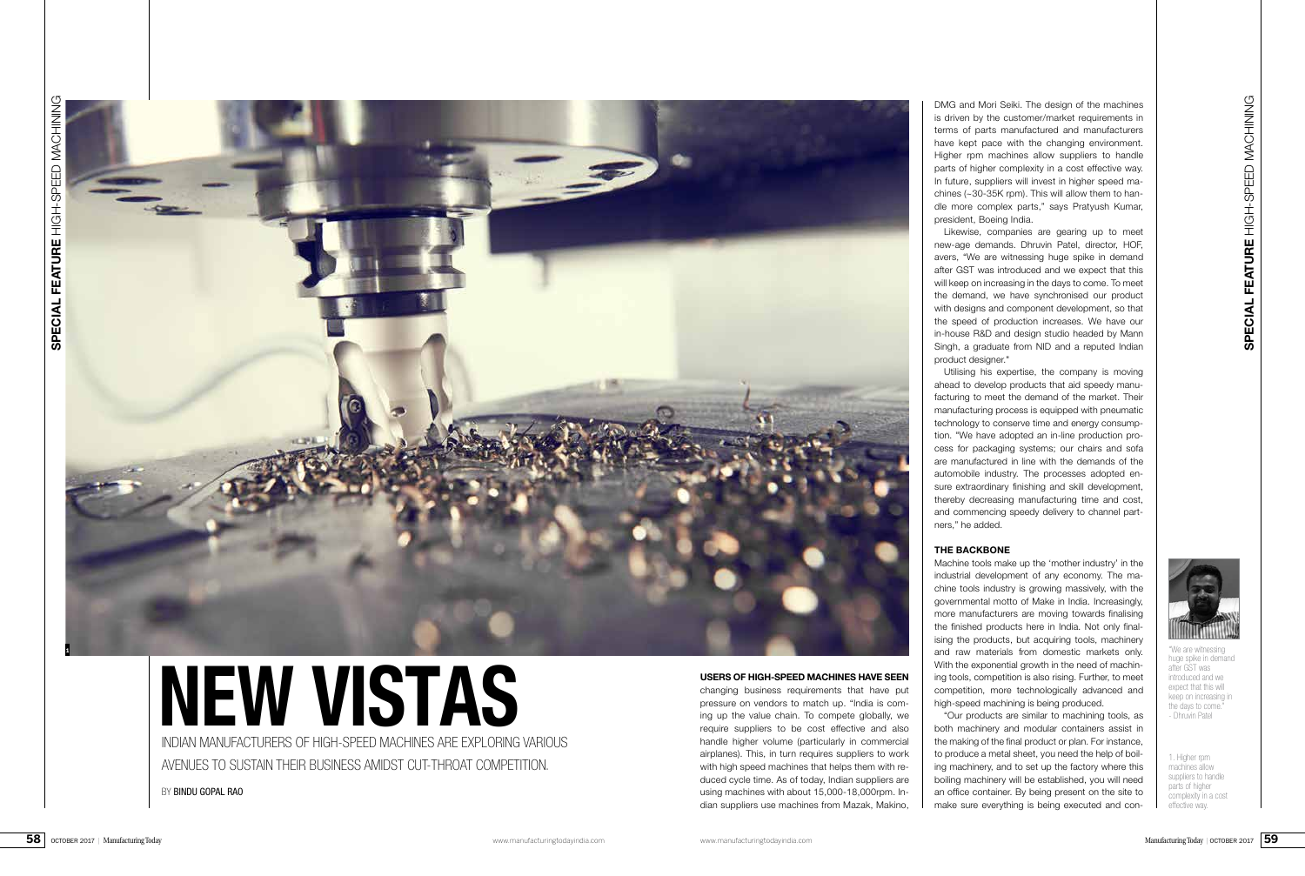

BY BINDU GOPAL RAO

# INDIAN MANUFACTURERS OF HIGH-SPEED MACHINES ARE EXPLORING VARIOUS **NEW VISTAS**

AVENUES TO SUSTAIN THEIR BUSINESS AMIDST CUT-THROAT COMPETITION.

DMG and Mori Seiki. The design of the machines is driven by the customer/market requirements in terms of parts manufactured and manufacturers have kept pace with the changing environment. Higher rpm machines allow suppliers to handle parts of higher complexity in a cost effective way. In future, suppliers will invest in higher speed machines  $(-30-35K$  rpm). This will allow them to handle more complex parts," says Pratyush Kumar, president, Boeing India.

Likewise, companies are gearing up to meet new-age demands. Dhruvin Patel, director, HOF, avers, "We are witnessing huge spike in demand after GST was introduced and we expect that this will keep on increasing in the days to come. To meet the demand, we have synchronised our product with designs and component development, so that the speed of production increases. We have our in-house R&D and design studio headed by Mann Singh, a graduate from NID and a reputed Indian



product designer."

Utilising his expertise, the company is moving ahead to develop products that aid speedy manufacturing to meet the demand of the market. Their manufacturing process is equipped with pneumatic technology to conserve time and energy consumption. "We have adopted an in-line production process for packaging systems; our chairs and sofa are manufactured in line with the demands of the automobile industry. The processes adopted ensure extraordinary finishing and skill development, thereby decreasing manufacturing time and cost, and commencing speedy delivery to channel partners," he added.

## **THE BACKBONE**

Machine tools make up the 'mother industry' in the industrial development of any economy. The machine tools industry is growing massively, with the governmental motto of Make in India. Increasingly, more manufacturers are moving towards finalising the finished products here in India. Not only finalising the products, but acquiring tools, machinery and raw materials from domestic markets only. With the exponential growth in the need of machining tools, competition is also rising. Further, to meet competition, more technologically advanced and high-speed machining is being produced.

"Our products are similar to machining tools, as both machinery and modular containers assist in the making of the final product or plan. For instance, to produce a metal sheet, you need the help of boiling machinery, and to set up the factory where this boiling machinery will be established, you will need an office container. By being present on the site to make sure everything is being executed and con-

**1**

1. Higher rpm machines allow suppliers to handle parts of higher complexity in a cost effective way.

"We are witnessing huge spike in demand after GST was introduced and we expect that this will keep on increasing in the days to come." - Dhruvin Patel

### **USERS OF HIGH-SPEED MACHINES HAVE SEEN**

changing business requirements that have put pressure on vendors to match up. "India is coming up the value chain. To compete globally, we require suppliers to be cost effective and also handle higher volume (particularly in commercial airplanes). This, in turn requires suppliers to work with high speed machines that helps them with reduced cycle time. As of today, Indian suppliers are using machines with about 15,000-18,000rpm. Indian suppliers use machines from Mazak, Makino,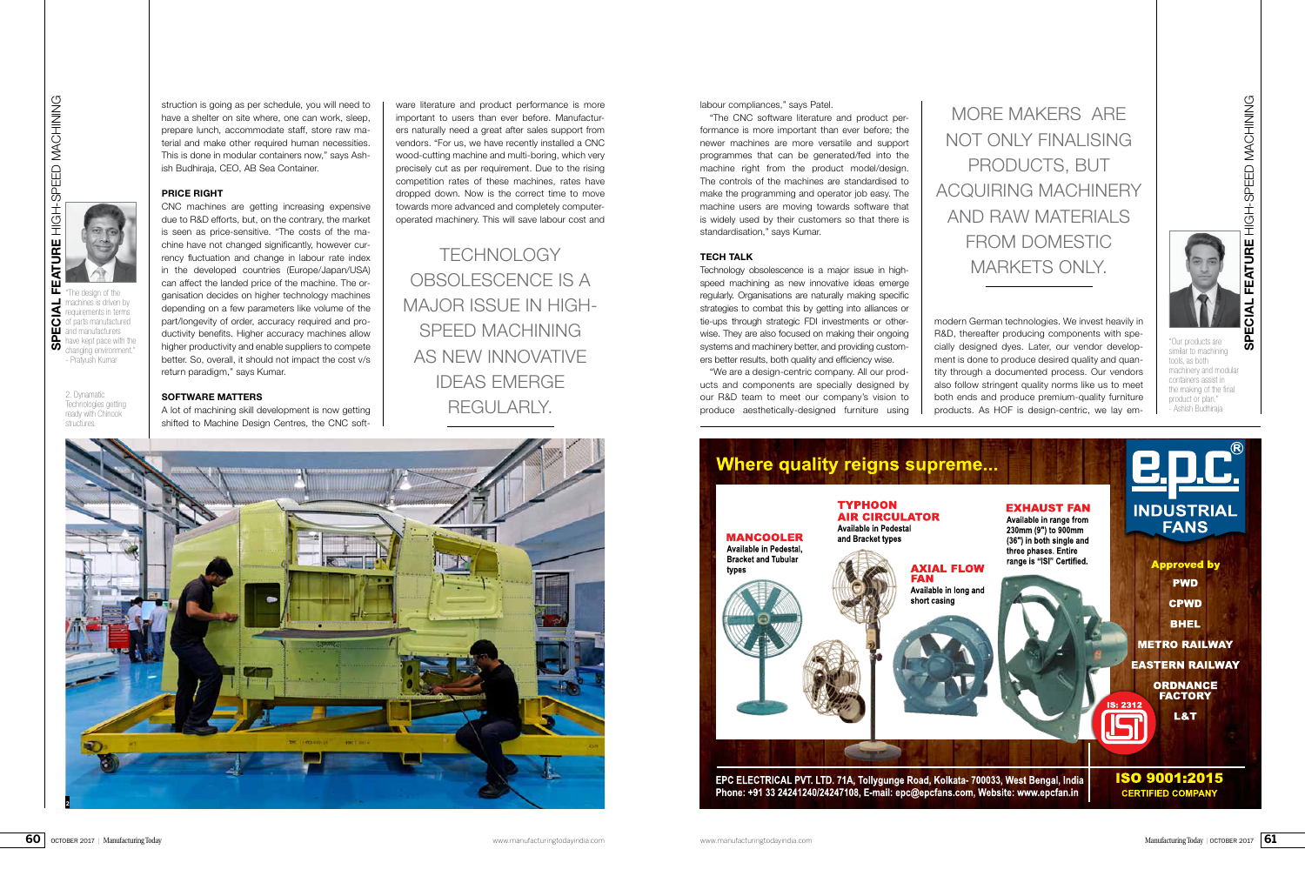he design of the achines is driven by equirements in terms



struction is going as per schedule, you will need to have a shelter on site where, one can work, sleep, prepare lunch, accommodate staff, store raw material and make other required human necessities. This is done in modular containers now," says Ashish Budhiraja, CEO, AB Sea Container.

#### **PRICE RIGHT**

CNC machines are getting increasing expensive due to R&D efforts, but, on the contrary, the market is seen as price-sensitive. "The costs of the machine have not changed significantly, however currency fluctuation and change in labour rate index in the developed countries (Europe/Japan/USA) can affect the landed price of the machine. The organisation decides on higher technology machines depending on a few parameters like volume of the part/longevity of order, accuracy required and productivity benefits. Higher accuracy machines allow higher productivity and enable suppliers to compete better. So, overall, it should not impact the cost v/s return paradigm," says Kumar.

2. Dynamatic Technologies getting ready with Chinook structures.

f parts manufactured and manufacturers have kept pace with the changing environment. - Pratyush Kumar

#### **SOFTWARE MATTERS**

A lot of machining skill development is now getting shifted to Machine Design Centres, the CNC soft-

ware literature and product performance is more important to users than ever before. Manufacturers naturally need a great after sales support from vendors. "For us, we have recently installed a CNC wood-cutting machine and multi-boring, which very precisely cut as per requirement. Due to the rising competition rates of these machines, rates have dropped down. Now is the correct time to move towards more advanced and completely computeroperated machinery. This will save labour cost and labour compliances," says Patel.

"The CNC software literature and product performance is more important than ever before; the newer machines are more versatile and support programmes that can be generated/fed into the machine right from the product model/design. The controls of the machines are standardised to make the programming and operator job easy. The machine users are moving towards software that is widely used by their customers so that there is standardisation," says Kumar.

#### **TECH TALK**

Technology obsolescence is a major issue in highspeed machining as new innovative ideas emerge regularly. Organisations are naturally making specific strategies to combat this by getting into alliances or tie-ups through strategic FDI investments or otherwise. They are also focused on making their ongoing systems and machinery better, and providing customers better results, both quality and efficiency wise.

"We are a design-centric company. All our products and components are specially designed by our R&D team to meet our company's vision to produce aesthetically-designed furniture using

"Our products are similar to machining tools, as both machinery and modular containers assist in the making of the final product or plan." - Ashish Budhiraja

modern German technologies. We invest heavily in R&D, thereafter producing components with specially designed dyes. Later, our vendor development is done to produce desired quality and quantity through a documented process. Our vendors also follow stringent quality norms like us to meet both ends and produce premium-quality furniture products. As HOF is design-centric, we lay em-

TECHNOLOGY OBSOLESCENCE IS A MAJOR ISSUE IN HIGH-SPEED MACHINING AS NEW INNOVATIVE IDEAS EMERGE REGULARLY.

MORE MAKERS ARE NOT ONLY FINALISING PRODUCTS, BUT ACQUIRING MACHINERY AND RAW MATERIALS FROM DOMESTIC MARKETS ONLY.

**2**